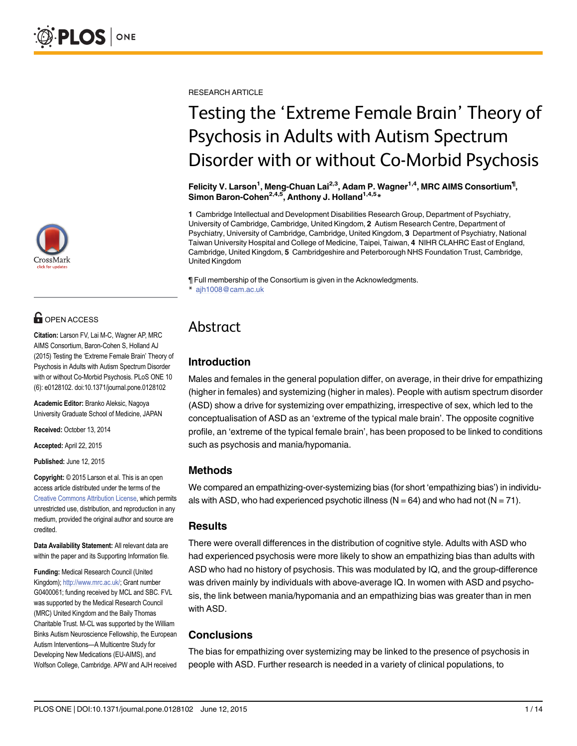

## **G** OPEN ACCESS

Citation: Larson FV, Lai M-C, Wagner AP, MRC AIMS Consortium, Baron-Cohen S, Holland AJ (2015) Testing the 'Extreme Female Brain' Theory of Psychosis in Adults with Autism Spectrum Disorder with or without Co-Morbid Psychosis. PLoS ONE 10 (6): e0128102. doi:10.1371/journal.pone.0128102

Academic Editor: Branko Aleksic, Nagoya University Graduate School of Medicine, JAPAN

Received: October 13, 2014

Accepted: April 22, 2015

Published: June 12, 2015

Copyright: © 2015 Larson et al. This is an open access article distributed under the terms of the [Creative Commons Attribution License,](http://creativecommons.org/licenses/by/4.0/) which permits unrestricted use, distribution, and reproduction in any medium, provided the original author and source are credited.

Data Availability Statement: All relevant data are within the paper and its Supporting Information file.

Funding: Medical Research Council (United Kingdom); <http://www.mrc.ac.uk/>; Grant number G0400061; funding received by MCL and SBC. FVL was supported by the Medical Research Council (MRC) United Kingdom and the Baily Thomas Charitable Trust. M-CL was supported by the William Binks Autism Neuroscience Fellowship, the European Autism Interventions—A Multicentre Study for Developing New Medications (EU-AIMS), and Wolfson College, Cambridge. APW and AJH received RESEARCH ARTICLE

# Testing the 'Extreme Female Brain' Theory of Psychosis in Adults with Autism Spectrum Disorder with or without Co-Morbid Psychosis

Felicity V. Larson<sup>1</sup>, Meng-Chuan Lai<sup>2,3</sup>, Adam P. Wagner<sup>1,4</sup>, MRC AIMS Consortium<sup>¶</sup>, Simon Baron-Cohen<sup>2,4,5</sup>, Anthony J. Holland<sup>1,4,5</sup>\*

1 Cambridge Intellectual and Development Disabilities Research Group, Department of Psychiatry, University of Cambridge, Cambridge, United Kingdom, 2 Autism Research Centre, Department of Psychiatry, University of Cambridge, Cambridge, United Kingdom, 3 Department of Psychiatry, National Taiwan University Hospital and College of Medicine, Taipei, Taiwan, 4 NIHR CLAHRC East of England, Cambridge, United Kingdom, 5 Cambridgeshire and Peterborough NHS Foundation Trust, Cambridge, United Kingdom

¶ Full membership of the Consortium is given in the Acknowledgments. ajh1008@cam.ac.uk

## Abstract

## Introduction

Males and females in the general population differ, on average, in their drive for empathizing (higher in females) and systemizing (higher in males). People with autism spectrum disorder (ASD) show a drive for systemizing over empathizing, irrespective of sex, which led to the conceptualisation of ASD as an 'extreme of the typical male brain'. The opposite cognitive profile, an 'extreme of the typical female brain', has been proposed to be linked to conditions such as psychosis and mania/hypomania.

## Methods

We compared an empathizing-over-systemizing bias (for short 'empathizing bias') in individuals with ASD, who had experienced psychotic illness ( $N = 64$ ) and who had not ( $N = 71$ ).

## **Results**

There were overall differences in the distribution of cognitive style. Adults with ASD who had experienced psychosis were more likely to show an empathizing bias than adults with ASD who had no history of psychosis. This was modulated by IQ, and the group-difference was driven mainly by individuals with above-average IQ. In women with ASD and psychosis, the link between mania/hypomania and an empathizing bias was greater than in men with ASD.

## **Conclusions**

The bias for empathizing over systemizing may be linked to the presence of psychosis in people with ASD. Further research is needed in a variety of clinical populations, to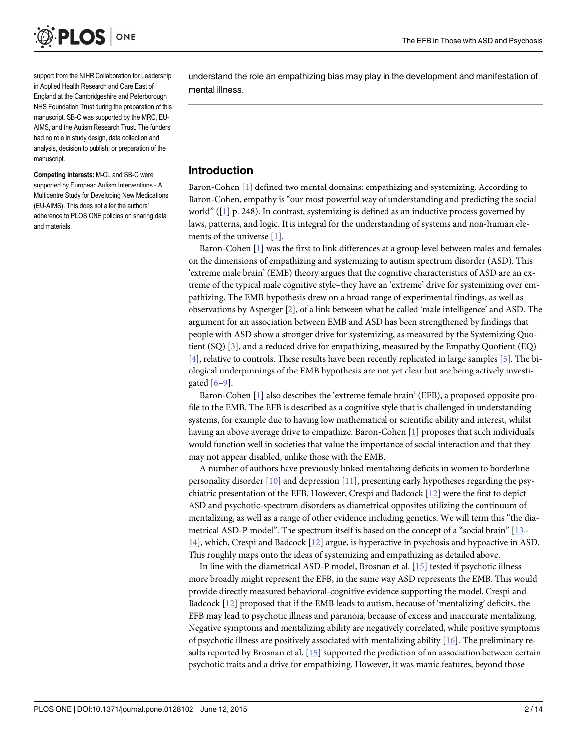<span id="page-1-0"></span>

support from the NIHR Collaboration for Leadership in Applied Health Research and Care East of England at the Cambridgeshire and Peterborough NHS Foundation Trust during the preparation of this manuscript. SB-C was supported by the MRC, EU-AIMS, and the Autism Research Trust. The funders had no role in study design, data collection and analysis, decision to publish, or preparation of the manuscript.

Competing Interests: M-CL and SB-C were supported by European Autism Interventions - A Multicentre Study for Developing New Medications (EU-AIMS). This does not alter the authors' adherence to PLOS ONE policies on sharing data and materials.

understand the role an empathizing bias may play in the development and manifestation of mental illness.

## Introduction

Baron-Cohen [[1\]](#page-11-0) defined two mental domains: empathizing and systemizing. According to Baron-Cohen, empathy is "our most powerful way of understanding and predicting the social world" ([\[1](#page-11-0)] p. 248). In contrast, systemizing is defined as an inductive process governed by laws, patterns, and logic. It is integral for the understanding of systems and non-human elements of the universe  $[1]$  $[1]$  $[1]$ .

Baron-Cohen [[1\]](#page-11-0) was the first to link differences at a group level between males and females on the dimensions of empathizing and systemizing to autism spectrum disorder (ASD). This 'extreme male brain' (EMB) theory argues that the cognitive characteristics of ASD are an extreme of the typical male cognitive style–they have an 'extreme' drive for systemizing over empathizing. The EMB hypothesis drew on a broad range of experimental findings, as well as observations by Asperger [[2\]](#page-11-0), of a link between what he called 'male intelligence' and ASD. The argument for an association between EMB and ASD has been strengthened by findings that people with ASD show a stronger drive for systemizing, as measured by the Systemizing Quotient (SQ) [\[3\]](#page-11-0), and a reduced drive for empathizing, measured by the Empathy Quotient (EQ) [\[4](#page-11-0)], relative to controls. These results have been recently replicated in large samples [[5\]](#page-11-0). The biological underpinnings of the EMB hypothesis are not yet clear but are being actively investigated  $[6-9]$  $[6-9]$  $[6-9]$ .

Baron-Cohen [[1\]](#page-11-0) also describes the 'extreme female brain' (EFB), a proposed opposite profile to the EMB. The EFB is described as a cognitive style that is challenged in understanding systems, for example due to having low mathematical or scientific ability and interest, whilst having an above average drive to empathize. Baron-Cohen [[1\]](#page-11-0) proposes that such individuals would function well in societies that value the importance of social interaction and that they may not appear disabled, unlike those with the EMB.

A number of authors have previously linked mentalizing deficits in women to borderline personality disorder  $[10]$  and depression  $[11]$ , presenting early hypotheses regarding the psychiatric presentation of the EFB. However, Crespi and Badcock [[12](#page-12-0)] were the first to depict ASD and psychotic-spectrum disorders as diametrical opposites utilizing the continuum of mentalizing, as well as a range of other evidence including genetics. We will term this "the diametrical ASD-P model". The spectrum itself is based on the concept of a "social brain" [\[13](#page-12-0)– [14\]](#page-12-0), which, Crespi and Badcock [[12](#page-12-0)] argue, is hyperactive in psychosis and hypoactive in ASD. This roughly maps onto the ideas of systemizing and empathizing as detailed above.

In line with the diametrical ASD-P model, Brosnan et al. [[15](#page-12-0)] tested if psychotic illness more broadly might represent the EFB, in the same way ASD represents the EMB. This would provide directly measured behavioral-cognitive evidence supporting the model. Crespi and Badcock [\[12\]](#page-12-0) proposed that if the EMB leads to autism, because of 'mentalizing' deficits, the EFB may lead to psychotic illness and paranoia, because of excess and inaccurate mentalizing. Negative symptoms and mentalizing ability are negatively correlated, while positive symptoms of psychotic illness are positively associated with mentalizing ability  $[16]$ . The preliminary results reported by Brosnan et al. [[15\]](#page-12-0) supported the prediction of an association between certain psychotic traits and a drive for empathizing. However, it was manic features, beyond those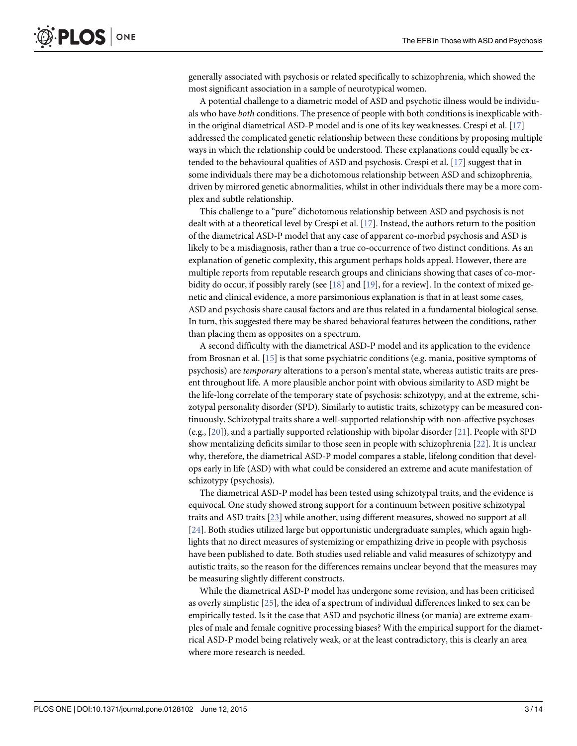<span id="page-2-0"></span>generally associated with psychosis or related specifically to schizophrenia, which showed the most significant association in a sample of neurotypical women.

A potential challenge to a diametric model of ASD and psychotic illness would be individuals who have both conditions. The presence of people with both conditions is inexplicable within the original diametrical ASD-P model and is one of its key weaknesses. Crespi et al. [[17](#page-12-0)] addressed the complicated genetic relationship between these conditions by proposing multiple ways in which the relationship could be understood. These explanations could equally be extended to the behavioural qualities of ASD and psychosis. Crespi et al.  $[17]$  $[17]$  $[17]$  suggest that in some individuals there may be a dichotomous relationship between ASD and schizophrenia, driven by mirrored genetic abnormalities, whilst in other individuals there may be a more complex and subtle relationship.

This challenge to a "pure" dichotomous relationship between ASD and psychosis is not dealt with at a theoretical level by Crespi et al. [[17](#page-12-0)]. Instead, the authors return to the position of the diametrical ASD-P model that any case of apparent co-morbid psychosis and ASD is likely to be a misdiagnosis, rather than a true co-occurrence of two distinct conditions. As an explanation of genetic complexity, this argument perhaps holds appeal. However, there are multiple reports from reputable research groups and clinicians showing that cases of co-mor-bidity do occur, if possibly rarely (see [[18](#page-12-0)] and [[19](#page-12-0)], for a review]. In the context of mixed genetic and clinical evidence, a more parsimonious explanation is that in at least some cases, ASD and psychosis share causal factors and are thus related in a fundamental biological sense. In turn, this suggested there may be shared behavioral features between the conditions, rather than placing them as opposites on a spectrum.

A second difficulty with the diametrical ASD-P model and its application to the evidence from Brosnan et al. [[15](#page-12-0)] is that some psychiatric conditions (e.g. mania, positive symptoms of psychosis) are temporary alterations to a person's mental state, whereas autistic traits are present throughout life. A more plausible anchor point with obvious similarity to ASD might be the life-long correlate of the temporary state of psychosis: schizotypy, and at the extreme, schizotypal personality disorder (SPD). Similarly to autistic traits, schizotypy can be measured continuously. Schizotypal traits share a well-supported relationship with non-affective psychoses (e.g., [\[20](#page-12-0)]), and a partially supported relationship with bipolar disorder [[21](#page-12-0)]. People with SPD show mentalizing deficits similar to those seen in people with schizophrenia [[22](#page-12-0)]. It is unclear why, therefore, the diametrical ASD-P model compares a stable, lifelong condition that develops early in life (ASD) with what could be considered an extreme and acute manifestation of schizotypy (psychosis).

The diametrical ASD-P model has been tested using schizotypal traits, and the evidence is equivocal. One study showed strong support for a continuum between positive schizotypal traits and ASD traits [[23](#page-12-0)] while another, using different measures, showed no support at all [\[24](#page-12-0)]. Both studies utilized large but opportunistic undergraduate samples, which again highlights that no direct measures of systemizing or empathizing drive in people with psychosis have been published to date. Both studies used reliable and valid measures of schizotypy and autistic traits, so the reason for the differences remains unclear beyond that the measures may be measuring slightly different constructs.

While the diametrical ASD-P model has undergone some revision, and has been criticised as overly simplistic [[25](#page-12-0)], the idea of a spectrum of individual differences linked to sex can be empirically tested. Is it the case that ASD and psychotic illness (or mania) are extreme examples of male and female cognitive processing biases? With the empirical support for the diametrical ASD-P model being relatively weak, or at the least contradictory, this is clearly an area where more research is needed.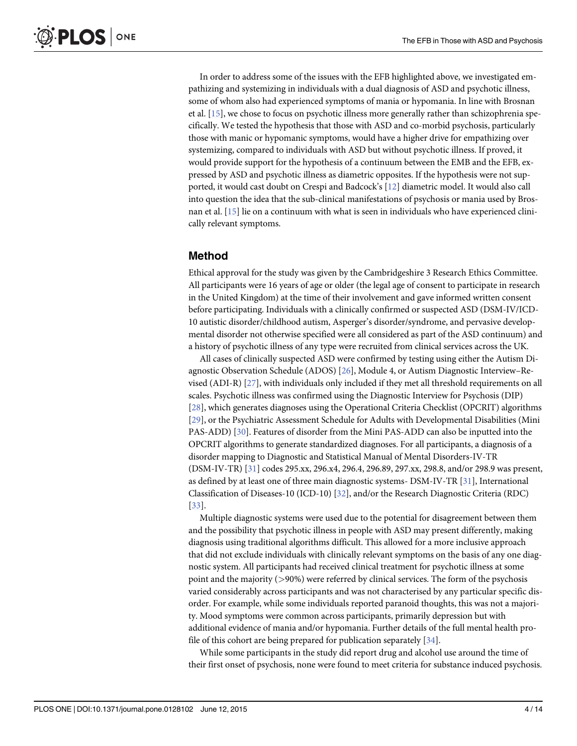<span id="page-3-0"></span>In order to address some of the issues with the EFB highlighted above, we investigated empathizing and systemizing in individuals with a dual diagnosis of ASD and psychotic illness, some of whom also had experienced symptoms of mania or hypomania. In line with Brosnan et al. [\[15\]](#page-12-0), we chose to focus on psychotic illness more generally rather than schizophrenia specifically. We tested the hypothesis that those with ASD and co-morbid psychosis, particularly those with manic or hypomanic symptoms, would have a higher drive for empathizing over systemizing, compared to individuals with ASD but without psychotic illness. If proved, it would provide support for the hypothesis of a continuum between the EMB and the EFB, expressed by ASD and psychotic illness as diametric opposites. If the hypothesis were not supported, it would cast doubt on Crespi and Badcock's [[12](#page-12-0)] diametric model. It would also call into question the idea that the sub-clinical manifestations of psychosis or mania used by Brosnan et al. [[15](#page-12-0)] lie on a continuum with what is seen in individuals who have experienced clinically relevant symptoms.

## Method

Ethical approval for the study was given by the Cambridgeshire 3 Research Ethics Committee. All participants were 16 years of age or older (the legal age of consent to participate in research in the United Kingdom) at the time of their involvement and gave informed written consent before participating. Individuals with a clinically confirmed or suspected ASD (DSM-IV/ICD-10 autistic disorder/childhood autism, Asperger's disorder/syndrome, and pervasive developmental disorder not otherwise specified were all considered as part of the ASD continuum) and a history of psychotic illness of any type were recruited from clinical services across the UK.

All cases of clinically suspected ASD were confirmed by testing using either the Autism Diagnostic Observation Schedule (ADOS) [[26](#page-12-0)], Module 4, or Autism Diagnostic Interview–Revised (ADI-R) [\[27\]](#page-12-0), with individuals only included if they met all threshold requirements on all scales. Psychotic illness was confirmed using the Diagnostic Interview for Psychosis (DIP) [\[28](#page-12-0)], which generates diagnoses using the Operational Criteria Checklist (OPCRIT) algorithms [\[29](#page-12-0)], or the Psychiatric Assessment Schedule for Adults with Developmental Disabilities (Mini PAS-ADD) [\[30\]](#page-12-0). Features of disorder from the Mini PAS-ADD can also be inputted into the OPCRIT algorithms to generate standardized diagnoses. For all participants, a diagnosis of a disorder mapping to Diagnostic and Statistical Manual of Mental Disorders-IV-TR (DSM-IV-TR) [[31\]](#page-12-0) codes 295.xx, 296.x4, 296.4, 296.89, 297.xx, 298.8, and/or 298.9 was present, as defined by at least one of three main diagnostic systems- DSM-IV-TR [\[31\]](#page-12-0), International Classification of Diseases-10 (ICD-10) [[32](#page-12-0)], and/or the Research Diagnostic Criteria (RDC) [\[33](#page-13-0)].

Multiple diagnostic systems were used due to the potential for disagreement between them and the possibility that psychotic illness in people with ASD may present differently, making diagnosis using traditional algorithms difficult. This allowed for a more inclusive approach that did not exclude individuals with clinically relevant symptoms on the basis of any one diagnostic system. All participants had received clinical treatment for psychotic illness at some point and the majority  $(>90%)$  were referred by clinical services. The form of the psychosis varied considerably across participants and was not characterised by any particular specific disorder. For example, while some individuals reported paranoid thoughts, this was not a majority. Mood symptoms were common across participants, primarily depression but with additional evidence of mania and/or hypomania. Further details of the full mental health profile of this cohort are being prepared for publication separately  $[34]$  $[34]$ .

While some participants in the study did report drug and alcohol use around the time of their first onset of psychosis, none were found to meet criteria for substance induced psychosis.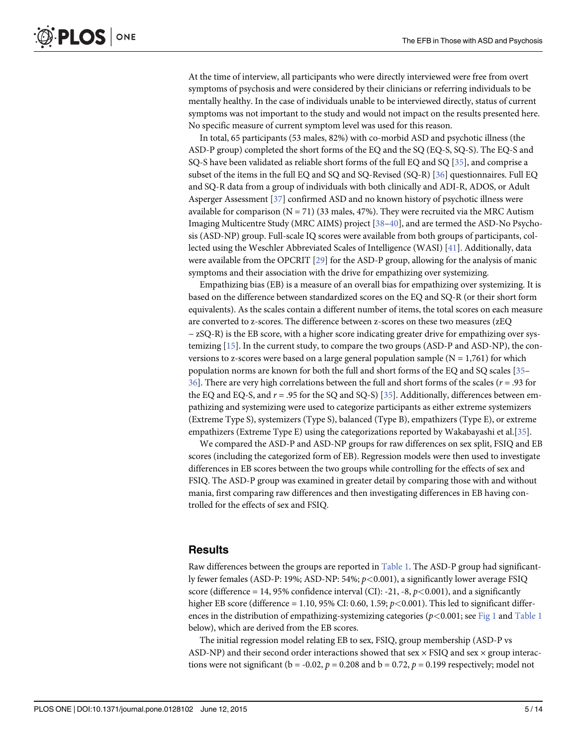<span id="page-4-0"></span>At the time of interview, all participants who were directly interviewed were free from overt symptoms of psychosis and were considered by their clinicians or referring individuals to be mentally healthy. In the case of individuals unable to be interviewed directly, status of current symptoms was not important to the study and would not impact on the results presented here. No specific measure of current symptom level was used for this reason.

In total, 65 participants (53 males, 82%) with co-morbid ASD and psychotic illness (the ASD-P group) completed the short forms of the EQ and the SQ (EQ-S, SQ-S). The EQ-S and SQ-S have been validated as reliable short forms of the full EQ and SQ [[35](#page-13-0)], and comprise a subset of the items in the full EQ and SQ and SQ-Revised (SQ-R)  $[36]$  $[36]$  questionnaires. Full EQ and SQ-R data from a group of individuals with both clinically and ADI-R, ADOS, or Adult Asperger Assessment [\[37\]](#page-13-0) confirmed ASD and no known history of psychotic illness were available for comparison  $(N = 71)$  (33 males, 47%). They were recruited via the MRC Autism Imaging Multicentre Study (MRC AIMS) project [[38](#page-13-0)–[40\]](#page-13-0), and are termed the ASD-No Psychosis (ASD-NP) group. Full-scale IQ scores were available from both groups of participants, collected using the Weschler Abbreviated Scales of Intelligence (WASI) [[41](#page-13-0)]. Additionally, data were available from the OPCRIT [\[29\]](#page-12-0) for the ASD-P group, allowing for the analysis of manic symptoms and their association with the drive for empathizing over systemizing.

Empathizing bias (EB) is a measure of an overall bias for empathizing over systemizing. It is based on the difference between standardized scores on the EQ and SQ-R (or their short form equivalents). As the scales contain a different number of items, the total scores on each measure are converted to z-scores. The difference between z-scores on these two measures (zEQ − zSQ-R) is the EB score, with a higher score indicating greater drive for empathizing over systemizing [\[15\]](#page-12-0). In the current study, to compare the two groups (ASD-P and ASD-NP), the conversions to z-scores were based on a large general population sample  $(N = 1,761)$  for which population norms are known for both the full and short forms of the EQ and SQ scales [[35](#page-13-0)–  $36$ ]. There are very high correlations between the full and short forms of the scales ( $r = .93$  for the EQ and EQ-S, and  $r = .95$  for the SQ and SQ-S) [\[35\]](#page-13-0). Additionally, differences between empathizing and systemizing were used to categorize participants as either extreme systemizers (Extreme Type S), systemizers (Type S), balanced (Type B), empathizers (Type E), or extreme empathizers (Extreme Type E) using the categorizations reported by Wakabayashi et al.  $[35]$ .

We compared the ASD-P and ASD-NP groups for raw differences on sex split, FSIQ and EB scores (including the categorized form of EB). Regression models were then used to investigate differences in EB scores between the two groups while controlling for the effects of sex and FSIQ. The ASD-P group was examined in greater detail by comparing those with and without mania, first comparing raw differences and then investigating differences in EB having controlled for the effects of sex and FSIQ.

## **Results**

Raw differences between the groups are reported in [Table 1](#page-5-0). The ASD-P group had significantly fewer females (ASD-P: 19%; ASD-NP: 54%;  $p < 0.001$ ), a significantly lower average FSIQ score (difference = 14, 95% confidence interval (CI): -21, -8,  $p$  < 0.001), and a significantly higher EB score (difference = 1.10, 95% CI: 0.60, 1.59;  $p < 0.001$ ). This led to significant differences in the distribution of empathizing-systemizing categories ( $p$ <0.001; see [Fig 1](#page-5-0) and [Table 1](#page-5-0) below), which are derived from the EB scores.

The initial regression model relating EB to sex, FSIQ, group membership (ASD-P vs ASD-NP) and their second order interactions showed that sex  $\times$  FSIQ and sex  $\times$  group interactions were not significant ( $b = -0.02$ ,  $p = 0.208$  and  $b = 0.72$ ,  $p = 0.199$  respectively; model not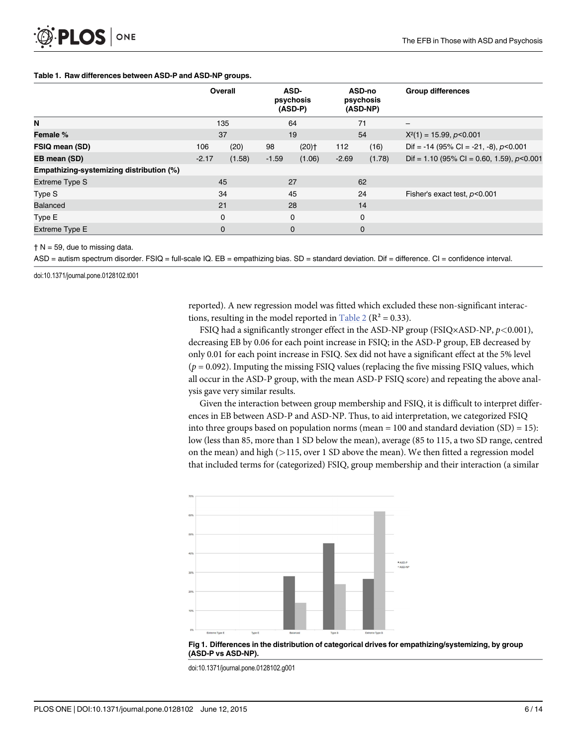#### [Table 1.](#page-4-0) Raw differences between ASD-P and ASD-NP groups.

ONE

<span id="page-5-0"></span>**PLOS I** 

| Overall                                  |              | ASD-<br>psychosis<br>(ASD-P) |             | ASD-no<br>psychosis<br>(ASD-NP) |             | <b>Group differences</b> |                                              |
|------------------------------------------|--------------|------------------------------|-------------|---------------------------------|-------------|--------------------------|----------------------------------------------|
| N                                        | 135          |                              | 64          |                                 | 71          |                          |                                              |
| Female %                                 |              | 37                           |             | 19                              |             | 54                       | $X^2(1) = 15.99, p < 0.001$                  |
| FSIQ mean (SD)                           | 106          | (20)                         | 98          | $(20)$ <sup>+</sup>             | 112         | (16)                     | Dif = -14 (95% CI = -21, -8), $p$ <0.001     |
| EB mean (SD)                             | $-2.17$      | (1.58)                       | $-1.59$     | (1.06)                          | $-2.69$     | (1.78)                   | Dif = 1.10 (95% CI = 0.60, 1.59), $p$ <0.001 |
| Empathizing-systemizing distribution (%) |              |                              |             |                                 |             |                          |                                              |
| Extreme Type S                           | 45           |                              | 27          |                                 | 62          |                          |                                              |
| Type S                                   | 34           |                              | 45          |                                 | 24          |                          | Fisher's exact test, $p<0.001$               |
| <b>Balanced</b>                          | 21           |                              | 28          |                                 | 14          |                          |                                              |
| Type E                                   | $\Omega$     |                              | $\mathbf 0$ |                                 | 0           |                          |                                              |
| Extreme Type E                           | $\mathbf{0}$ |                              | 0           |                                 | $\mathbf 0$ |                          |                                              |

#### $\dagger$  N = 59, due to missing data.

ASD = autism spectrum disorder. FSIQ = full-scale IQ. EB = empathizing bias. SD = standard deviation. Dif = difference. CI = confidence interval.

doi:10.1371/journal.pone.0128102.t001

reported). A new regression model was fitted which excluded these non-significant interac-tions, resulting in the model reported in [Table 2](#page-6-0) ( $R^2 = 0.33$ ).

FSIQ had a significantly stronger effect in the ASD-NP group (FSIQ×ASD-NP,  $p$ <0.001), decreasing EB by 0.06 for each point increase in FSIQ; in the ASD-P group, EB decreased by only 0.01 for each point increase in FSIQ. Sex did not have a significant effect at the 5% level  $(p = 0.092)$ . Imputing the missing FSIQ values (replacing the five missing FSIQ values, which all occur in the ASD-P group, with the mean ASD-P FSIQ score) and repeating the above analysis gave very similar results.

Given the interaction between group membership and FSIQ, it is difficult to interpret differences in EB between ASD-P and ASD-NP. Thus, to aid interpretation, we categorized FSIQ into three groups based on population norms (mean  $= 100$  and standard deviation (SD)  $= 15$ ): low (less than 85, more than 1 SD below the mean), average (85 to 115, a two SD range, centred on the mean) and high  $(>115,$  over 1 SD above the mean). We then fitted a regression model that included terms for (categorized) FSIQ, group membership and their interaction (a similar





doi:10.1371/journal.pone.0128102.g001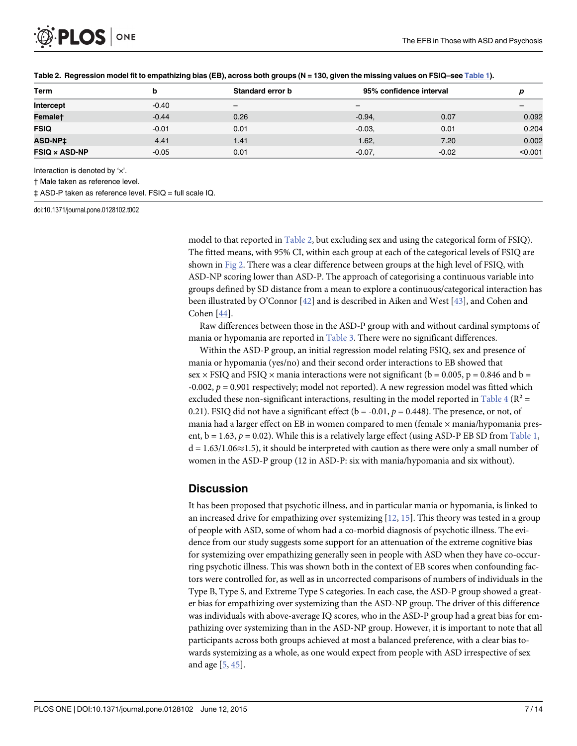<span id="page-6-0"></span>

| <b>Term</b>          | b       | Standard error b         | 95% confidence interval  |         | D       |
|----------------------|---------|--------------------------|--------------------------|---------|---------|
| Intercept            | $-0.40$ | $\overline{\phantom{m}}$ | $\overline{\phantom{m}}$ |         | -       |
| Female†              | $-0.44$ | 0.26                     | $-0.94$                  | 0.07    | 0.092   |
| <b>FSIQ</b>          | $-0.01$ | 0.01                     | $-0.03$                  | 0.01    | 0.204   |
| <b>ASD-NP‡</b>       | 4.41    | 1.41                     | 1.62,                    | 7.20    | 0.002   |
| <b>FSIQ × ASD-NP</b> | $-0.05$ | 0.01                     | $-0.07$ .                | $-0.02$ | < 0.001 |

[Table 2.](#page-5-0) Regression model fit to empathizing bias (EB), across both groups (N = 130, given the missing values on FSIQ-see [Table 1\)](#page-5-0).

Interaction is denoted by '×'.

† Male taken as reference level.

‡ ASD-P taken as reference level. FSIQ = full scale IQ.

doi:10.1371/journal.pone.0128102.t002

model to that reported in Table 2, but excluding sex and using the categorical form of FSIQ). The fitted means, with 95% CI, within each group at each of the categorical levels of FSIQ are shown in [Fig 2](#page-7-0). There was a clear difference between groups at the high level of FSIQ, with ASD-NP scoring lower than ASD-P. The approach of categorising a continuous variable into groups defined by SD distance from a mean to explore a continuous/categorical interaction has been illustrated by O'Connor [\[42\]](#page-13-0) and is described in Aiken and West [[43\]](#page-13-0), and Cohen and Cohen [\[44\]](#page-13-0).

Raw differences between those in the ASD-P group with and without cardinal symptoms of mania or hypomania are reported in [Table 3](#page-8-0). There were no significant differences.

Within the ASD-P group, an initial regression model relating FSIQ, sex and presence of mania or hypomania (yes/no) and their second order interactions to EB showed that sex  $\times$  FSIQ and FSIQ  $\times$  mania interactions were not significant (b = 0.005, p = 0.846 and b = -0.002,  $p = 0.901$  respectively; model not reported). A new regression model was fitted which excluded these non-significant interactions, resulting in the model reported in  $Table 4 (R^2 =$  $Table 4 (R^2 =$ 0.21). FSIQ did not have a significant effect ( $b = -0.01$ ,  $p = 0.448$ ). The presence, or not, of mania had a larger effect on EB in women compared to men (female × mania/hypomania present,  $b = 1.63$ ,  $p = 0.02$ ). While this is a relatively large effect (using ASD-P EB SD from [Table 1,](#page-5-0)  $d = 1.63/1.06 \approx 1.5$ ), it should be interpreted with caution as there were only a small number of women in the ASD-P group (12 in ASD-P: six with mania/hypomania and six without).

## **Discussion**

It has been proposed that psychotic illness, and in particular mania or hypomania, is linked to an increased drive for empathizing over systemizing  $[12, 15]$  $[12, 15]$  $[12, 15]$  $[12, 15]$  $[12, 15]$ . This theory was tested in a group of people with ASD, some of whom had a co-morbid diagnosis of psychotic illness. The evidence from our study suggests some support for an attenuation of the extreme cognitive bias for systemizing over empathizing generally seen in people with ASD when they have co-occurring psychotic illness. This was shown both in the context of EB scores when confounding factors were controlled for, as well as in uncorrected comparisons of numbers of individuals in the Type B, Type S, and Extreme Type S categories. In each case, the ASD-P group showed a greater bias for empathizing over systemizing than the ASD-NP group. The driver of this difference was individuals with above-average IQ scores, who in the ASD-P group had a great bias for empathizing over systemizing than in the ASD-NP group. However, it is important to note that all participants across both groups achieved at most a balanced preference, with a clear bias towards systemizing as a whole, as one would expect from people with ASD irrespective of sex and age  $[5, 45]$  $[5, 45]$  $[5, 45]$  $[5, 45]$ .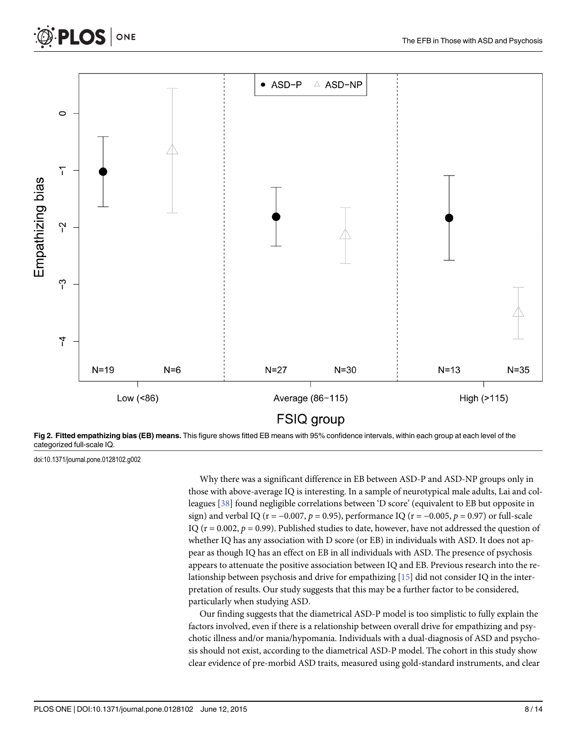<span id="page-7-0"></span>



categorized full-scale IQ.

doi:10.1371/journal.pone.0128102.g002

Why there was a significant difference in EB between ASD-P and ASD-NP groups only in those with above-average IQ is interesting. In a sample of neurotypical male adults, Lai and colleagues [\[38\]](#page-13-0) found negligible correlations between 'D score' (equivalent to EB but opposite in sign) and verbal IQ ( $r = -0.007$ ,  $p = 0.95$ ), performance IQ ( $r = -0.005$ ,  $p = 0.97$ ) or full-scale IQ ( $r = 0.002$ ,  $p = 0.99$ ). Published studies to date, however, have not addressed the question of whether IQ has any association with D score (or EB) in individuals with ASD. It does not appear as though IQ has an effect on EB in all individuals with ASD. The presence of psychosis appears to attenuate the positive association between IQ and EB. Previous research into the relationship between psychosis and drive for empathizing  $[15]$  $[15]$  $[15]$  did not consider IQ in the interpretation of results. Our study suggests that this may be a further factor to be considered, particularly when studying ASD.

Our finding suggests that the diametrical ASD-P model is too simplistic to fully explain the factors involved, even if there is a relationship between overall drive for empathizing and psychotic illness and/or mania/hypomania. Individuals with a dual-diagnosis of ASD and psychosis should not exist, according to the diametrical ASD-P model. The cohort in this study show clear evidence of pre-morbid ASD traits, measured using gold-standard instruments, and clear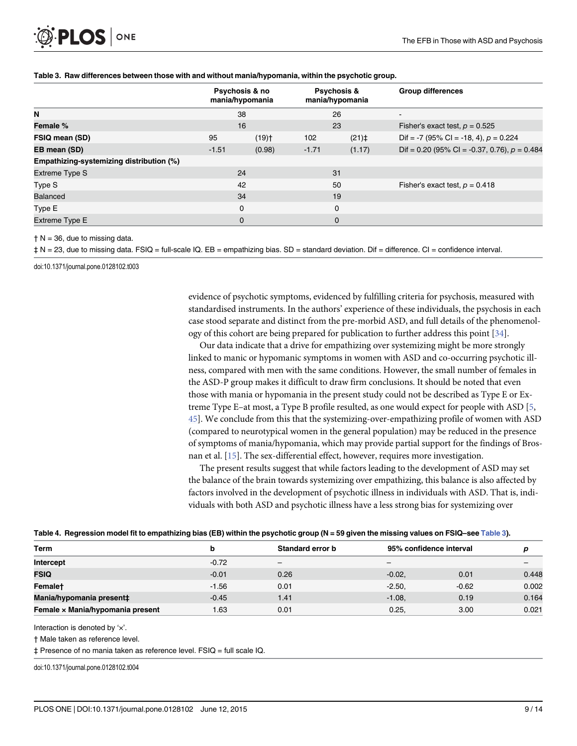<span id="page-8-0"></span>

| Psychosis & no<br>mania/hypomania<br>38 |                     | <b>Psychosis &amp;</b><br>mania/hypomania<br>26 |                                         | <b>Group differences</b>                            |  |  |
|-----------------------------------------|---------------------|-------------------------------------------------|-----------------------------------------|-----------------------------------------------------|--|--|
|                                         |                     |                                                 |                                         | $\blacksquare$                                      |  |  |
| 16                                      |                     | 23                                              |                                         | Fisher's exact test, $p = 0.525$                    |  |  |
| 95                                      | $(19)$ <sup>+</sup> | 102                                             | $(21)$ <sup><math>\ddagger</math></sup> | Dif = $-7$ (95% CI = $-18$ , 4), $p = 0.224$        |  |  |
| $-1.51$                                 | (0.98)              | $-1.71$                                         | (1.17)                                  | Dif = $0.20$ (95% Cl = $-0.37$ , 0.76), $p = 0.484$ |  |  |
|                                         |                     |                                                 |                                         |                                                     |  |  |
|                                         |                     |                                                 |                                         |                                                     |  |  |
| 42                                      |                     | 50                                              |                                         | Fisher's exact test, $p = 0.418$                    |  |  |
|                                         |                     |                                                 |                                         |                                                     |  |  |
|                                         |                     |                                                 |                                         |                                                     |  |  |
|                                         |                     |                                                 |                                         |                                                     |  |  |
|                                         |                     | 24<br>34<br>$\mathbf 0$<br>$\mathbf 0$          |                                         | 31<br>19<br>0<br>0                                  |  |  |

#### [Table 3.](#page-6-0) Raw differences between those with and without mania/hypomania, within the psychotic group.

#### $\dagger$  N = 36, due to missing data.

‡ N = 23, due to missing data. FSIQ = full-scale IQ. EB = empathizing bias. SD = standard deviation. Dif = difference. CI = confidence interval.

doi:10.1371/journal.pone.0128102.t003

evidence of psychotic symptoms, evidenced by fulfilling criteria for psychosis, measured with standardised instruments. In the authors' experience of these individuals, the psychosis in each case stood separate and distinct from the pre-morbid ASD, and full details of the phenomenology of this cohort are being prepared for publication to further address this point [\[34\]](#page-13-0).

Our data indicate that a drive for empathizing over systemizing might be more strongly linked to manic or hypomanic symptoms in women with ASD and co-occurring psychotic illness, compared with men with the same conditions. However, the small number of females in the ASD-P group makes it difficult to draw firm conclusions. It should be noted that even those with mania or hypomania in the present study could not be described as Type E or Extreme Type E–at most, a Type B profile resulted, as one would expect for people with ASD [[5](#page-11-0), [45\]](#page-13-0). We conclude from this that the systemizing-over-empathizing profile of women with ASD (compared to neurotypical women in the general population) may be reduced in the presence of symptoms of mania/hypomania, which may provide partial support for the findings of Brosnan et al. [[15](#page-12-0)]. The sex-differential effect, however, requires more investigation.

The present results suggest that while factors leading to the development of ASD may set the balance of the brain towards systemizing over empathizing, this balance is also affected by factors involved in the development of psychotic illness in individuals with ASD. That is, individuals with both ASD and psychotic illness have a less strong bias for systemizing over

|  |  | Table 4.  Regression model fit to empathizing bias (EB) within the psychotic group (N = 59 given the missing values on FSIQ–see <u>Table 3</u> ). |
|--|--|---------------------------------------------------------------------------------------------------------------------------------------------------|
|  |  |                                                                                                                                                   |

| <b>Term</b>                      | b       | Standard error b |          | 95% confidence interval |       |
|----------------------------------|---------|------------------|----------|-------------------------|-------|
| Intercept                        | $-0.72$ | -                | -        |                         |       |
| <b>FSIQ</b>                      | $-0.01$ | 0.26             | $-0.02.$ | 0.01                    | 0.448 |
| Female+                          | $-1.56$ | 0.01             | $-2.50.$ | $-0.62$                 | 0.002 |
| Mania/hypomania present‡         | $-0.45$ | 1.41             | $-1.08.$ | 0.19                    | 0.164 |
| Female x Mania/hypomania present | 1.63    | 0.01             | 0.25.    | 3.00                    | 0.021 |

Interaction is denoted by '×'.

† Male taken as reference level.

‡ Presence of no mania taken as reference level. FSIQ = full scale IQ.

doi:10.1371/journal.pone.0128102.t004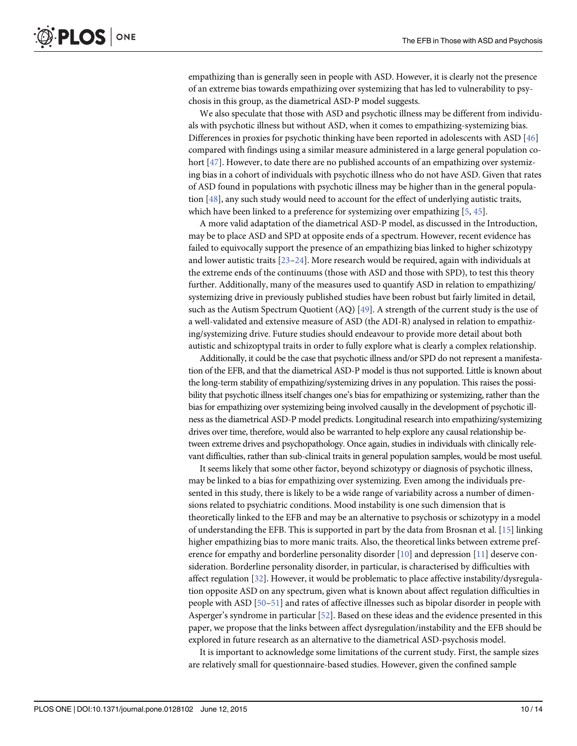<span id="page-9-0"></span>empathizing than is generally seen in people with ASD. However, it is clearly not the presence of an extreme bias towards empathizing over systemizing that has led to vulnerability to psychosis in this group, as the diametrical ASD-P model suggests.

We also speculate that those with ASD and psychotic illness may be different from individuals with psychotic illness but without ASD, when it comes to empathizing-systemizing bias. Differences in proxies for psychotic thinking have been reported in adolescents with ASD [[46](#page-13-0)] compared with findings using a similar measure administered in a large general population co-hort [[47](#page-13-0)]. However, to date there are no published accounts of an empathizing over systemizing bias in a cohort of individuals with psychotic illness who do not have ASD. Given that rates of ASD found in populations with psychotic illness may be higher than in the general population [[48](#page-13-0)], any such study would need to account for the effect of underlying autistic traits, which have been linked to a preference for systemizing over empathizing [\[5,](#page-11-0) [45\]](#page-13-0).

A more valid adaptation of the diametrical ASD-P model, as discussed in the Introduction, may be to place ASD and SPD at opposite ends of a spectrum. However, recent evidence has failed to equivocally support the presence of an empathizing bias linked to higher schizotypy and lower autistic traits [\[23](#page-12-0)–[24\]](#page-12-0). More research would be required, again with individuals at the extreme ends of the continuums (those with ASD and those with SPD), to test this theory further. Additionally, many of the measures used to quantify ASD in relation to empathizing/ systemizing drive in previously published studies have been robust but fairly limited in detail, such as the Autism Spectrum Quotient  $(AQ)$  [[49](#page-13-0)]. A strength of the current study is the use of a well-validated and extensive measure of ASD (the ADI-R) analysed in relation to empathizing/systemizing drive. Future studies should endeavour to provide more detail about both autistic and schizoptypal traits in order to fully explore what is clearly a complex relationship.

Additionally, it could be the case that psychotic illness and/or SPD do not represent a manifestation of the EFB, and that the diametrical ASD-P model is thus not supported. Little is known about the long-term stability of empathizing/systemizing drives in any population. This raises the possibility that psychotic illness itself changes one's bias for empathizing or systemizing, rather than the bias for empathizing over systemizing being involved causally in the development of psychotic illness as the diametrical ASD-P model predicts. Longitudinal research into empathizing/systemizing drives over time, therefore, would also be warranted to help explore any causal relationship between extreme drives and psychopathology. Once again, studies in individuals with clinically relevant difficulties, rather than sub-clinical traits in general population samples, would be most useful.

It seems likely that some other factor, beyond schizotypy or diagnosis of psychotic illness, may be linked to a bias for empathizing over systemizing. Even among the individuals presented in this study, there is likely to be a wide range of variability across a number of dimensions related to psychiatric conditions. Mood instability is one such dimension that is theoretically linked to the EFB and may be an alternative to psychosis or schizotypy in a model of understanding the EFB. This is supported in part by the data from Brosnan et al. [[15](#page-12-0)] linking higher empathizing bias to more manic traits. Also, the theoretical links between extreme preference for empathy and borderline personality disorder [[10](#page-12-0)] and depression [[11](#page-12-0)] deserve consideration. Borderline personality disorder, in particular, is characterised by difficulties with affect regulation [[32\]](#page-12-0). However, it would be problematic to place affective instability/dysregulation opposite ASD on any spectrum, given what is known about affect regulation difficulties in people with ASD [[50](#page-13-0)–[51](#page-13-0)] and rates of affective illnesses such as bipolar disorder in people with Asperger's syndrome in particular [[52](#page-13-0)]. Based on these ideas and the evidence presented in this paper, we propose that the links between affect dysregulation/instability and the EFB should be explored in future research as an alternative to the diametrical ASD-psychosis model.

It is important to acknowledge some limitations of the current study. First, the sample sizes are relatively small for questionnaire-based studies. However, given the confined sample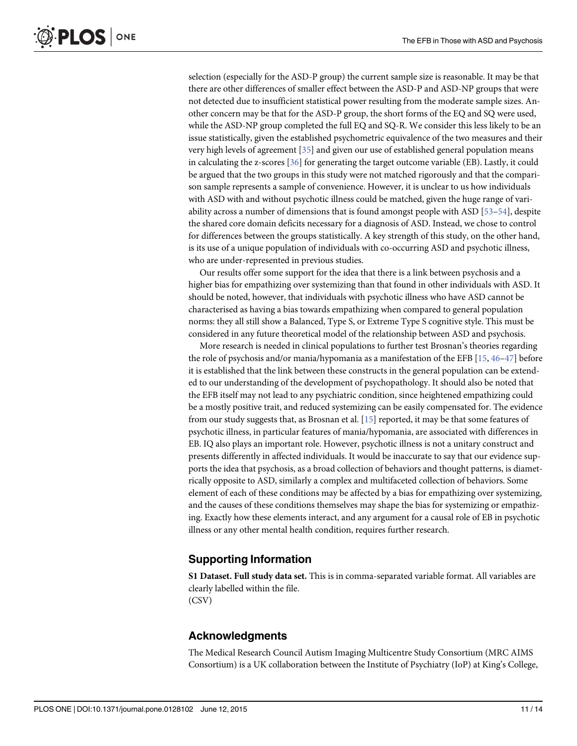<span id="page-10-0"></span>selection (especially for the ASD-P group) the current sample size is reasonable. It may be that there are other differences of smaller effect between the ASD-P and ASD-NP groups that were not detected due to insufficient statistical power resulting from the moderate sample sizes. Another concern may be that for the ASD-P group, the short forms of the EQ and SQ were used, while the ASD-NP group completed the full EQ and SQ-R. We consider this less likely to be an issue statistically, given the established psychometric equivalence of the two measures and their very high levels of agreement [\[35](#page-13-0)] and given our use of established general population means in calculating the z-scores  $[36]$  $[36]$  $[36]$  for generating the target outcome variable (EB). Lastly, it could be argued that the two groups in this study were not matched rigorously and that the comparison sample represents a sample of convenience. However, it is unclear to us how individuals with ASD with and without psychotic illness could be matched, given the huge range of variability across a number of dimensions that is found amongst people with ASD [[53](#page-13-0)–[54](#page-13-0)], despite the shared core domain deficits necessary for a diagnosis of ASD. Instead, we chose to control for differences between the groups statistically. A key strength of this study, on the other hand, is its use of a unique population of individuals with co-occurring ASD and psychotic illness, who are under-represented in previous studies.

Our results offer some support for the idea that there is a link between psychosis and a higher bias for empathizing over systemizing than that found in other individuals with ASD. It should be noted, however, that individuals with psychotic illness who have ASD cannot be characterised as having a bias towards empathizing when compared to general population norms: they all still show a Balanced, Type S, or Extreme Type S cognitive style. This must be considered in any future theoretical model of the relationship between ASD and psychosis.

More research is needed in clinical populations to further test Brosnan's theories regarding the role of psychosis and/or mania/hypomania as a manifestation of the EFB [\[15,](#page-12-0) [46](#page-13-0)–[47](#page-13-0)] before it is established that the link between these constructs in the general population can be extended to our understanding of the development of psychopathology. It should also be noted that the EFB itself may not lead to any psychiatric condition, since heightened empathizing could be a mostly positive trait, and reduced systemizing can be easily compensated for. The evidence from our study suggests that, as Brosnan et al. [[15](#page-12-0)] reported, it may be that some features of psychotic illness, in particular features of mania/hypomania, are associated with differences in EB. IQ also plays an important role. However, psychotic illness is not a unitary construct and presents differently in affected individuals. It would be inaccurate to say that our evidence supports the idea that psychosis, as a broad collection of behaviors and thought patterns, is diametrically opposite to ASD, similarly a complex and multifaceted collection of behaviors. Some element of each of these conditions may be affected by a bias for empathizing over systemizing, and the causes of these conditions themselves may shape the bias for systemizing or empathizing. Exactly how these elements interact, and any argument for a causal role of EB in psychotic illness or any other mental health condition, requires further research.

## Supporting Information

[S1 Dataset.](http://www.plosone.org/article/fetchSingleRepresentation.action?uri=info:doi/10.1371/journal.pone.0128102.s001) Full study data set. This is in comma-separated variable format. All variables are clearly labelled within the file. (CSV)

## Acknowledgments

The Medical Research Council Autism Imaging Multicentre Study Consortium (MRC AIMS Consortium) is a UK collaboration between the Institute of Psychiatry (IoP) at King's College,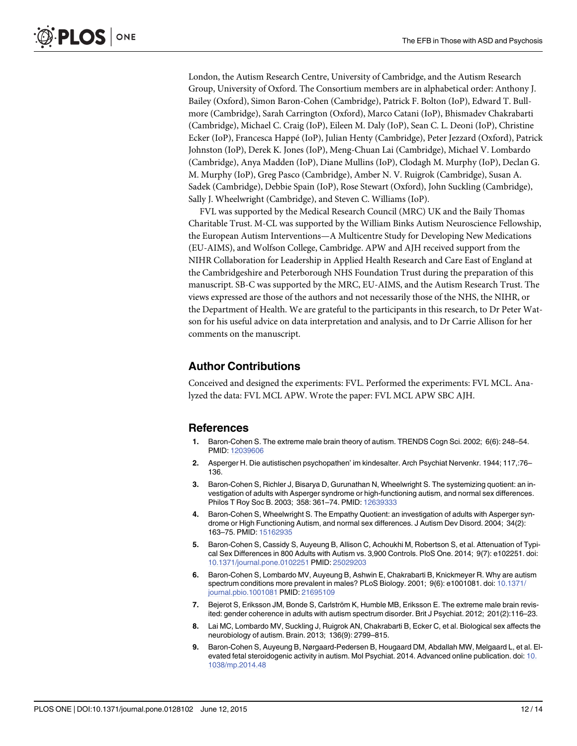<span id="page-11-0"></span>London, the Autism Research Centre, University of Cambridge, and the Autism Research Group, University of Oxford. The Consortium members are in alphabetical order: Anthony J. Bailey (Oxford), Simon Baron-Cohen (Cambridge), Patrick F. Bolton (IoP), Edward T. Bullmore (Cambridge), Sarah Carrington (Oxford), Marco Catani (IoP), Bhismadev Chakrabarti (Cambridge), Michael C. Craig (IoP), Eileen M. Daly (IoP), Sean C. L. Deoni (IoP), Christine Ecker (IoP), Francesca Happé (IoP), Julian Henty (Cambridge), Peter Jezzard (Oxford), Patrick Johnston (IoP), Derek K. Jones (IoP), Meng-Chuan Lai (Cambridge), Michael V. Lombardo (Cambridge), Anya Madden (IoP), Diane Mullins (IoP), Clodagh M. Murphy (IoP), Declan G. M. Murphy (IoP), Greg Pasco (Cambridge), Amber N. V. Ruigrok (Cambridge), Susan A. Sadek (Cambridge), Debbie Spain (IoP), Rose Stewart (Oxford), John Suckling (Cambridge), Sally J. Wheelwright (Cambridge), and Steven C. Williams (IoP).

FVL was supported by the Medical Research Council (MRC) UK and the Baily Thomas Charitable Trust. M-CL was supported by the William Binks Autism Neuroscience Fellowship, the European Autism Interventions—A Multicentre Study for Developing New Medications (EU-AIMS), and Wolfson College, Cambridge. APW and AJH received support from the NIHR Collaboration for Leadership in Applied Health Research and Care East of England at the Cambridgeshire and Peterborough NHS Foundation Trust during the preparation of this manuscript. SB-C was supported by the MRC, EU-AIMS, and the Autism Research Trust. The views expressed are those of the authors and not necessarily those of the NHS, the NIHR, or the Department of Health. We are grateful to the participants in this research, to Dr Peter Watson for his useful advice on data interpretation and analysis, and to Dr Carrie Allison for her comments on the manuscript.

## Author Contributions

Conceived and designed the experiments: FVL. Performed the experiments: FVL MCL. Analyzed the data: FVL MCL APW. Wrote the paper: FVL MCL APW SBC AJH.

## References

- [1.](#page-1-0) Baron-Cohen S. The extreme male brain theory of autism. TRENDS Cogn Sci. 2002; 6(6): 248–54. PMID: [12039606](http://www.ncbi.nlm.nih.gov/pubmed/12039606)
- [2.](#page-1-0) Asperger H. Die autistischen psychopathen' im kindesalter. Arch Psychiat Nervenkr. 1944; 117,:76– 136.
- [3.](#page-1-0) Baron-Cohen S, Richler J, Bisarya D, Gurunathan N, Wheelwright S. The systemizing quotient: an investigation of adults with Asperger syndrome or high-functioning autism, and normal sex differences. Philos T Roy Soc B. 2003; 358: 361–74. PMID: [12639333](http://www.ncbi.nlm.nih.gov/pubmed/12639333)
- [4.](#page-1-0) Baron-Cohen S, Wheelwright S. The Empathy Quotient: an investigation of adults with Asperger syndrome or High Functioning Autism, and normal sex differences. J Autism Dev Disord. 2004; 34(2): 163–75. PMID: [15162935](http://www.ncbi.nlm.nih.gov/pubmed/15162935)
- [5.](#page-1-0) Baron-Cohen S, Cassidy S, Auyeung B, Allison C, Achoukhi M, Robertson S, et al. Attenuation of Typical Sex Differences in 800 Adults with Autism vs. 3,900 Controls. PloS One. 2014; 9(7): e102251. doi: [10.1371/journal.pone.0102251](http://dx.doi.org/10.1371/journal.pone.0102251) PMID: [25029203](http://www.ncbi.nlm.nih.gov/pubmed/25029203)
- [6.](#page-1-0) Baron-Cohen S, Lombardo MV, Auyeung B, Ashwin E, Chakrabarti B, Knickmeyer R. Why are autism spectrum conditions more prevalent in males? PLoS Biology. 2001; 9(6): e1001081. doi: [10.1371/](http://dx.doi.org/10.1371/journal.pbio.1001081) [journal.pbio.1001081](http://dx.doi.org/10.1371/journal.pbio.1001081) PMID: [21695109](http://www.ncbi.nlm.nih.gov/pubmed/21695109)
- 7. Bejerot S, Eriksson JM, Bonde S, Carlström K, Humble MB, Eriksson E. The extreme male brain revisited: gender coherence in adults with autism spectrum disorder. Brit J Psychiat. 2012; 201(2):116–23.
- 8. Lai MC, Lombardo MV, Suckling J, Ruigrok AN, Chakrabarti B, Ecker C, et al. Biological sex affects the neurobiology of autism. Brain. 2013; 136(9): 2799–815.
- [9.](#page-1-0) Baron-Cohen S, Auyeung B, Nørgaard-Pedersen B, Hougaard DM, Abdallah MW, Melgaard L, et al. Elevated fetal steroidogenic activity in autism. Mol Psychiat. 2014. Advanced online publication. doi: [10.](http://dx.doi.org/10.1038/mp.2014.48) [1038/mp.2014.48](http://dx.doi.org/10.1038/mp.2014.48)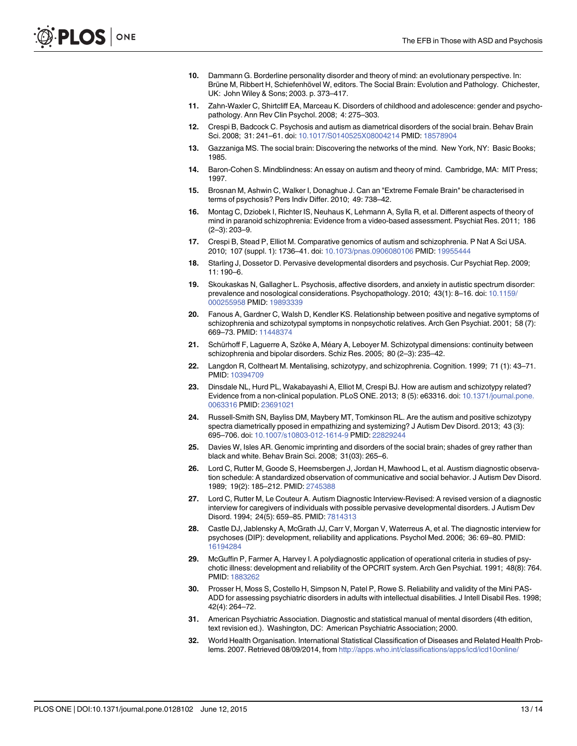- <span id="page-12-0"></span>[10.](#page-1-0) Dammann G. Borderline personality disorder and theory of mind: an evolutionary perspective. In: Brüne M, Ribbert H, Schiefenhövel W, editors. The Social Brain: Evolution and Pathology. Chichester, UK: John Wiley & Sons; 2003. p. 373–417.
- [11.](#page-1-0) Zahn-Waxler C, Shirtcliff EA, Marceau K. Disorders of childhood and adolescence: gender and psychopathology. Ann Rev Clin Psychol. 2008; 4: 275–303.
- [12.](#page-1-0) Crespi B, Badcock C. Psychosis and autism as diametrical disorders of the social brain. Behav Brain Sci. 2008; 31: 241–61. doi: [10.1017/S0140525X08004214](http://dx.doi.org/10.1017/S0140525X08004214) PMID: [18578904](http://www.ncbi.nlm.nih.gov/pubmed/18578904)
- [13.](#page-1-0) Gazzaniga MS. The social brain: Discovering the networks of the mind. New York, NY: Basic Books; 1985.
- [14.](#page-1-0) Baron-Cohen S. Mindblindness: An essay on autism and theory of mind. Cambridge, MA: MIT Press; 1997.
- [15.](#page-1-0) Brosnan M, Ashwin C, Walker I, Donaghue J. Can an "Extreme Female Brain" be characterised in terms of psychosis? Pers Indiv Differ. 2010; 49: 738–42.
- [16.](#page-1-0) Montag C, Dziobek I, Richter IS, Neuhaus K, Lehmann A, Sylla R, et al. Different aspects of theory of mind in paranoid schizophrenia: Evidence from a video-based assessment. Psychiat Res. 2011; 186 (2–3): 203–9.
- [17.](#page-2-0) Crespi B, Stead P, Elliot M. Comparative genomics of autism and schizophrenia. P Nat A Sci USA. 2010; 107 (suppl. 1): 1736–41. doi: [10.1073/pnas.0906080106](http://dx.doi.org/10.1073/pnas.0906080106) PMID: [19955444](http://www.ncbi.nlm.nih.gov/pubmed/19955444)
- [18.](#page-2-0) Starling J, Dossetor D. Pervasive developmental disorders and psychosis. Cur Psychiat Rep. 2009; 11: 190–6.
- [19.](#page-2-0) Skoukaskas N, Gallagher L. Psychosis, affective disorders, and anxiety in autistic spectrum disorder: prevalence and nosological considerations. Psychopathology. 2010; 43(1): 8–16. doi: [10.1159/](http://dx.doi.org/10.1159/000255958) [000255958](http://dx.doi.org/10.1159/000255958) PMID: [19893339](http://www.ncbi.nlm.nih.gov/pubmed/19893339)
- [20.](#page-2-0) Fanous A, Gardner C, Walsh D, Kendler KS. Relationship between positive and negative symptoms of schizophrenia and schizotypal symptoms in nonpsychotic relatives. Arch Gen Psychiat. 2001; 58 (7): 669–73. PMID: [11448374](http://www.ncbi.nlm.nih.gov/pubmed/11448374)
- [21.](#page-2-0) Schürhoff F, Laguerre A, Szöke A, Méary A, Leboyer M. Schizotypal dimensions: continuity between schizophrenia and bipolar disorders. Schiz Res. 2005; 80 (2–3): 235–42.
- [22.](#page-2-0) Langdon R, Coltheart M. Mentalising, schizotypy, and schizophrenia. Cognition. 1999; 71 (1): 43–71. PMID: [10394709](http://www.ncbi.nlm.nih.gov/pubmed/10394709)
- [23.](#page-2-0) Dinsdale NL, Hurd PL, Wakabayashi A, Elliot M, Crespi BJ. How are autism and schizotypy related? Evidence from a non-clinical population. PLoS ONE. 2013; 8 (5): e63316. doi: [10.1371/journal.pone.](http://dx.doi.org/10.1371/journal.pone.0063316) [0063316](http://dx.doi.org/10.1371/journal.pone.0063316) PMID: [23691021](http://www.ncbi.nlm.nih.gov/pubmed/23691021)
- [24.](#page-2-0) Russell-Smith SN, Bayliss DM, Maybery MT, Tomkinson RL. Are the autism and positive schizotypy spectra diametrically pposed in empathizing and systemizing? J Autism Dev Disord. 2013; 43 (3): 695–706. doi: [10.1007/s10803-012-1614-9](http://dx.doi.org/10.1007/s10803-012-1614-9) PMID: [22829244](http://www.ncbi.nlm.nih.gov/pubmed/22829244)
- [25.](#page-2-0) Davies W, Isles AR. Genomic imprinting and disorders of the social brain; shades of grey rather than black and white. Behav Brain Sci. 2008; 31(03): 265–6.
- [26.](#page-3-0) Lord C, Rutter M, Goode S, Heemsbergen J, Jordan H, Mawhood L, et al. Austism diagnostic observation schedule: A standardized observation of communicative and social behavior. J Autism Dev Disord. 1989; 19(2): 185–212. PMID: [2745388](http://www.ncbi.nlm.nih.gov/pubmed/2745388)
- [27.](#page-3-0) Lord C, Rutter M, Le Couteur A. Autism Diagnostic Interview-Revised: A revised version of a diagnostic interview for caregivers of individuals with possible pervasive developmental disorders. J Autism Dev Disord. 1994; 24(5): 659–85. PMID: [7814313](http://www.ncbi.nlm.nih.gov/pubmed/7814313)
- [28.](#page-3-0) Castle DJ, Jablensky A, McGrath JJ, Carr V, Morgan V, Waterreus A, et al. The diagnostic interview for psychoses (DIP): development, reliability and applications. Psychol Med. 2006; 36: 69–80. PMID: [16194284](http://www.ncbi.nlm.nih.gov/pubmed/16194284)
- [29.](#page-3-0) McGuffin P, Farmer A, Harvey I. A polydiagnostic application of operational criteria in studies of psychotic illness: development and reliability of the OPCRIT system. Arch Gen Psychiat. 1991; 48(8): 764. PMID: [1883262](http://www.ncbi.nlm.nih.gov/pubmed/1883262)
- [30.](#page-3-0) Prosser H, Moss S, Costello H, Simpson N, Patel P, Rowe S. Reliability and validity of the Mini PAS-ADD for assessing psychiatric disorders in adults with intellectual disabilities. J Intell Disabil Res. 1998; 42(4): 264–72.
- [31.](#page-3-0) American Psychiatric Association. Diagnostic and statistical manual of mental disorders (4th edition, text revision ed.). Washington, DC: American Psychiatric Association; 2000.
- [32.](#page-3-0) World Health Organisation. International Statistical Classification of Diseases and Related Health Problems. 2007. Retrieved 08/09/2014, from <http://apps.who.int/classifications/apps/icd/icd10online/>